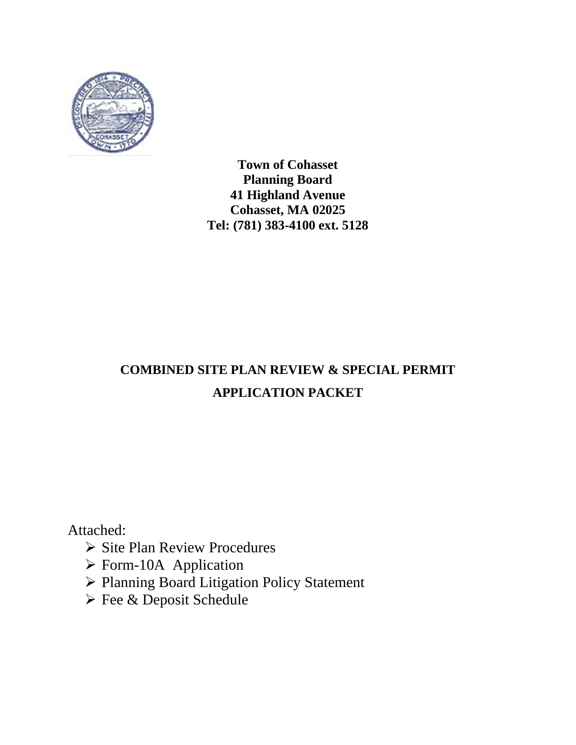

# **COMBINED SITE PLAN REVIEW & SPECIAL PERMIT APPLICATION PACKET**

Attached:

- ➢ Site Plan Review Procedures
- ➢ Form-10A Application
- ➢ Planning Board Litigation Policy Statement
- ➢ Fee & Deposit Schedule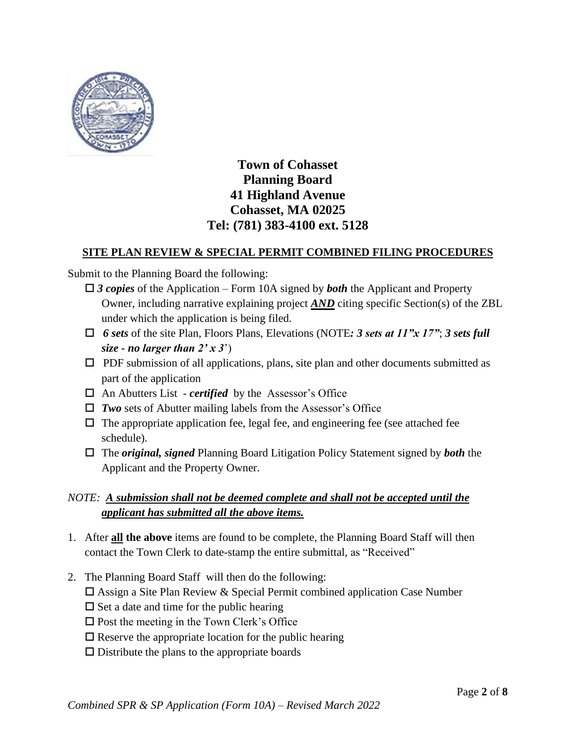

## **SITE PLAN REVIEW & SPECIAL PERMIT COMBINED FILING PROCEDURES**

Submit to the Planning Board the following:

- *3 copies* of the Application Form 10A signed by *both* the Applicant and Property Owner, including narrative explaining project *AND* citing specific Section(s) of the ZBL under which the application is being filed.
- $\Box$  **6** *sets* of the site Plan, Floors Plans, Elevations (NOTE: 3 *sets at 11"x 17"*; 3 *sets full size - no larger than*  $2' \times 3'$
- $\Box$  PDF submission of all applications, plans, site plan and other documents submitted as part of the application
- An Abutters List *certified* by the Assessor's Office
- *Two* sets of Abutter mailing labels from the Assessor's Office
- $\Box$  The appropriate application fee, legal fee, and engineering fee (see attached fee schedule).
- The *original, signed* Planning Board Litigation Policy Statement signed by *both* the Applicant and the Property Owner.

## *NOTE: A submission shall not be deemed complete and shall not be accepted until the applicant has submitted all the above items.*

- 1. After **all the above** items are found to be complete, the Planning Board Staff will then contact the Town Clerk to date-stamp the entire submittal, as "Received"
- 2. The Planning Board Staff will then do the following:
	- $\Box$  Assign a Site Plan Review & Special Permit combined application Case Number
	- $\square$  Set a date and time for the public hearing
	- $\square$  Post the meeting in the Town Clerk's Office
	- $\square$  Reserve the appropriate location for the public hearing
	- $\square$  Distribute the plans to the appropriate boards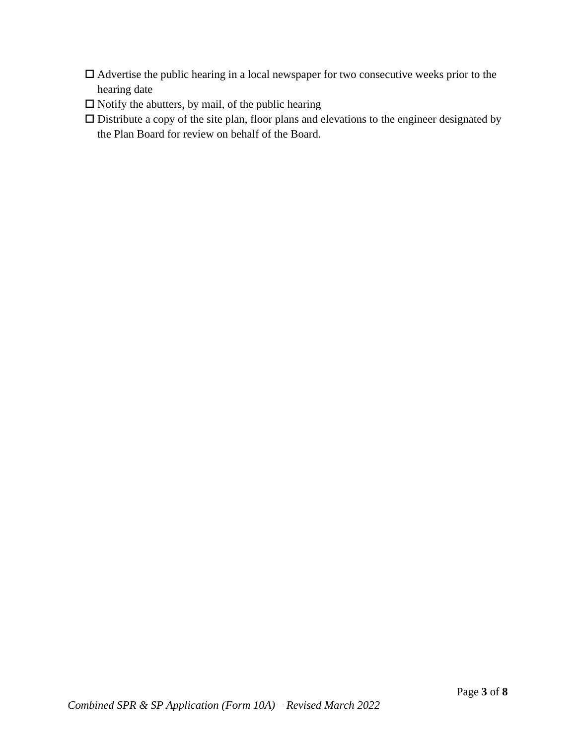- $\Box$  Advertise the public hearing in a local newspaper for two consecutive weeks prior to the hearing date
- $\square$  Notify the abutters, by mail, of the public hearing
- $\square$  Distribute a copy of the site plan, floor plans and elevations to the engineer designated by the Plan Board for review on behalf of the Board.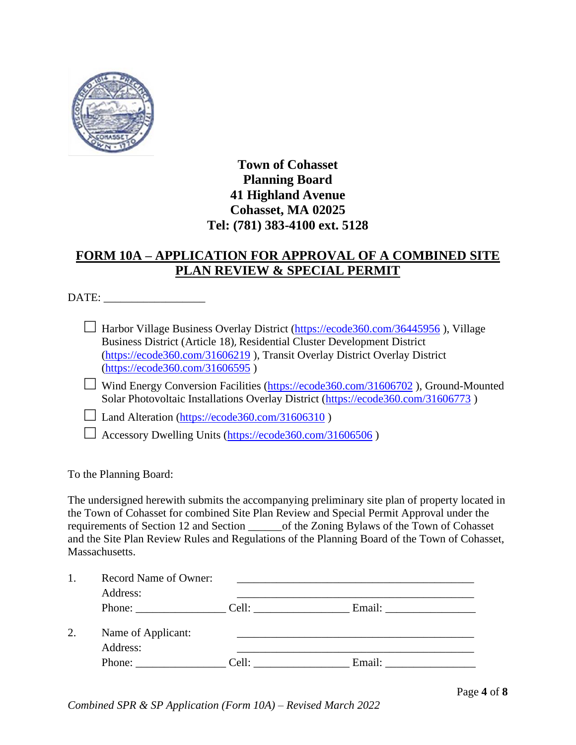

# **FORM 10A – APPLICATION FOR APPROVAL OF A COMBINED SITE PLAN REVIEW & SPECIAL PERMIT**

DATE:

□ Harbor Village Business Overlay District ( $\frac{https://ecode360.com/36445956}{https://ecode360.com/36445956}$ ), Village Business District (Article 18), Residential Cluster Development District [\(https://ecode360.com/31606219](https://ecode360.com/31606219) ), Transit Overlay District Overlay District [\(https://ecode360.com/31606595](https://ecode360.com/31606595) )

□ Wind Energy Conversion Facilities [\(https://ecode360.com/31606702](https://ecode360.com/31606702)), Ground-Mounted Solar Photovoltaic Installations Overlay District [\(https://ecode360.com/31606773](https://ecode360.com/31606773) )

 $\Box$  Land Alteration [\(https://ecode360.com/31606310](https://ecode360.com/31606310))

 $\Box$  Accessory Dwelling Units [\(https://ecode360.com/31606506](https://ecode360.com/31606506))

To the Planning Board:

The undersigned herewith submits the accompanying preliminary site plan of property located in the Town of Cohasset for combined Site Plan Review and Special Permit Approval under the requirements of Section 12 and Section of the Zoning Bylaws of the Town of Cohasset and the Site Plan Review Rules and Regulations of the Planning Board of the Town of Cohasset, Massachusetts.

| 1. | Record Name of Owner:<br>Address: |       |        |  |  |
|----|-----------------------------------|-------|--------|--|--|
|    | Phone: Cell:                      |       |        |  |  |
| 2. | Name of Applicant:<br>Address:    |       |        |  |  |
|    | Phone:                            | Cell: | Email: |  |  |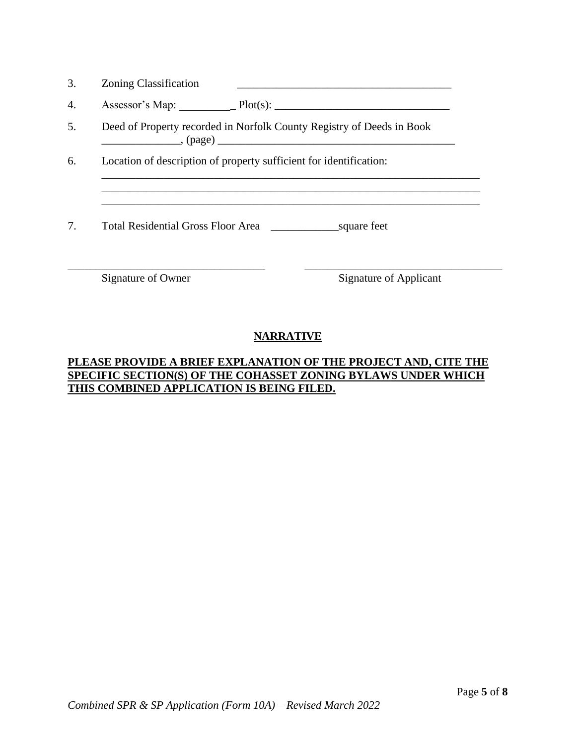| <b>Zoning Classification</b><br>υ. |  |
|------------------------------------|--|
|------------------------------------|--|

| 4. | $\sim$<br>0.0000<br>≅ Ma∟<br>7336330L<br>$\mathbf{r}$ | . |  |
|----|-------------------------------------------------------|---|--|
|----|-------------------------------------------------------|---|--|

- 5. Deed of Property recorded in Norfolk County Registry of Deeds in Book \_\_\_\_\_\_\_\_\_\_\_\_\_\_, (page) \_\_\_\_\_\_\_\_\_\_\_\_\_\_\_\_\_\_\_\_\_\_\_\_\_\_\_\_\_\_\_\_\_\_\_\_\_\_\_\_\_\_
- 6. Location of description of property sufficient for identification:

7. Total Residential Gross Floor Area \_\_\_\_\_\_\_\_\_\_\_\_square feet

Signature of Owner Signature of Applicant

## **NARRATIVE**

\_\_\_\_\_\_\_\_\_\_\_\_\_\_\_\_\_\_\_\_\_\_\_\_\_\_\_\_\_\_\_\_\_\_\_ \_\_\_\_\_\_\_\_\_\_\_\_\_\_\_\_\_\_\_\_\_\_\_\_\_\_\_\_\_\_\_\_\_\_\_

\_\_\_\_\_\_\_\_\_\_\_\_\_\_\_\_\_\_\_\_\_\_\_\_\_\_\_\_\_\_\_\_\_\_\_\_\_\_\_\_\_\_\_\_\_\_\_\_\_\_\_\_\_\_\_\_\_\_\_\_\_\_\_\_\_\_\_

## **PLEASE PROVIDE A BRIEF EXPLANATION OF THE PROJECT AND, CITE THE SPECIFIC SECTION(S) OF THE COHASSET ZONING BYLAWS UNDER WHICH THIS COMBINED APPLICATION IS BEING FILED.**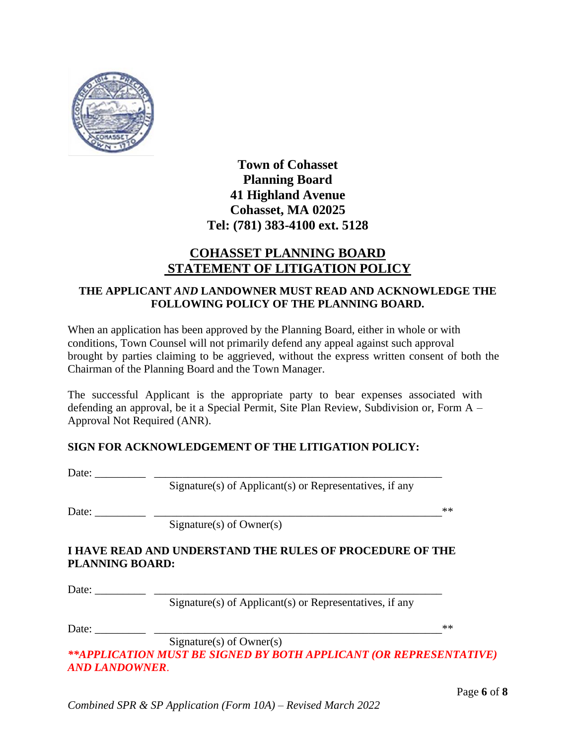

# **COHASSET PLANNING BOARD STATEMENT OF LITIGATION POLICY**

## **THE APPLICANT** *AND* **LANDOWNER MUST READ AND ACKNOWLEDGE THE FOLLOWING POLICY OF THE PLANNING BOARD.**

When an application has been approved by the Planning Board, either in whole or with conditions, Town Counsel will not primarily defend any appeal against such approval brought by parties claiming to be aggrieved, without the express written consent of both the Chairman of the Planning Board and the Town Manager.

The successful Applicant is the appropriate party to bear expenses associated with defending an approval, be it a Special Permit, Site Plan Review, Subdivision or, Form A – Approval Not Required (ANR).

## **SIGN FOR ACKNOWLEDGEMENT OF THE LITIGATION POLICY:**

Date: \_\_\_\_\_\_\_\_\_ \_\_\_\_\_\_\_\_\_\_\_\_\_\_\_\_\_\_\_\_\_\_\_\_\_\_\_\_\_\_\_\_\_\_\_\_\_\_\_\_\_\_\_\_\_\_\_\_\_\_\_

Signature(s) of Applicant(s) or Representatives, if any

Date: \_\_\_\_\_\_\_\_\_ \_\_\_\_\_\_\_\_\_\_\_\_\_\_\_\_\_\_\_\_\_\_\_\_\_\_\_\_\_\_\_\_\_\_\_\_\_\_\_\_\_\_\_\_\_\_\_\_\_\_\_\*\*

Signature(s) of Owner(s)

## **I HAVE READ AND UNDERSTAND THE RULES OF PROCEDURE OF THE PLANNING BOARD:**

Date: \_\_\_\_\_\_\_\_\_ \_\_\_\_\_\_\_\_\_\_\_\_\_\_\_\_\_\_\_\_\_\_\_\_\_\_\_\_\_\_\_\_\_\_\_\_\_\_\_\_\_\_\_\_\_\_\_\_\_\_\_

Signature(s) of Applicant(s) or Representatives, if any

Date: \_\_\_\_\_\_\_\_\_ \_\_\_\_\_\_\_\_\_\_\_\_\_\_\_\_\_\_\_\_\_\_\_\_\_\_\_\_\_\_\_\_\_\_\_\_\_\_\_\_\_\_\_\_\_\_\_\_\_\_\_\*\*

Signature(s) of Owner(s) *\*\*APPLICATION MUST BE SIGNED BY BOTH APPLICANT (OR REPRESENTATIVE) AND LANDOWNER*.

Page **6** of **8**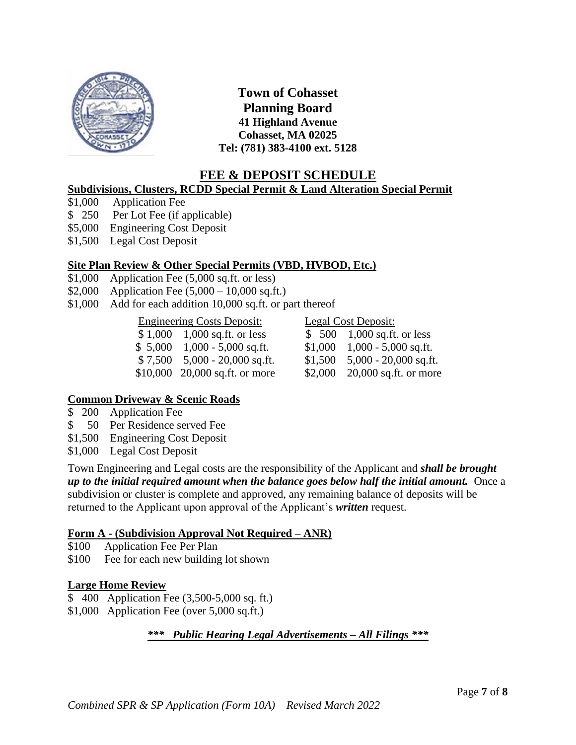

# **FEE & DEPOSIT SCHEDULE**

## **Subdivisions, Clusters, RCDD Special Permit & Land Alteration Special Permit**

- \$1,000 Application Fee
- \$ 250 Per Lot Fee (if applicable)
- \$5,000 Engineering Cost Deposit
- \$1,500 Legal Cost Deposit

### **Site Plan Review & Other Special Permits (VBD, HVBOD, Etc.)**

- \$1,000 Application Fee (5,000 sq.ft. or less)
- \$2,000 Application Fee  $(5,000 10,000 \text{ sq.fit.})$
- \$1,000 Add for each addition 10,000 sq.ft. or part thereof

## Engineering Costs Deposit: Legal Cost Deposit:

|  | $$1,000$ 1,000 sq.ft. or less      | $$500$ 1,000 sq.ft. or less       |
|--|------------------------------------|-----------------------------------|
|  | $$5,000$ 1,000 - 5,000 sq.ft.      | $$1,000$ 1,000 - 5,000 sq.ft.     |
|  | $$7,500$ $5,000$ $- 20,000$ sq.ft. | $$1,500$ $$5,000 - 20,000$ sq.ft. |
|  | $$10,000$ 20,000 sq.ft. or more    | \$2,000 $20,000$ sq.ft. or more   |
|  |                                    |                                   |

### **Common Driveway & Scenic Roads**

- \$ 200 Application Fee
- \$ 50 Per Residence served Fee
- \$1,500 Engineering Cost Deposit
- \$1,000 Legal Cost Deposit

Town Engineering and Legal costs are the responsibility of the Applicant and *shall be brought up to the initial required amount when the balance goes below half the initial amount.* Once a subdivision or cluster is complete and approved, any remaining balance of deposits will be returned to the Applicant upon approval of the Applicant's *written* request.

### **Form A - (Subdivision Approval Not Required – ANR)**

- \$100 Application Fee Per Plan
- \$100 Fee for each new building lot shown

### **Large Home Review**

- \$ 400 Application Fee (3,500-5,000 sq. ft.)
- \$1,000 Application Fee (over 5,000 sq.ft.)

### *\*\*\* Public Hearing Legal Advertisements – All Filings \*\*\**